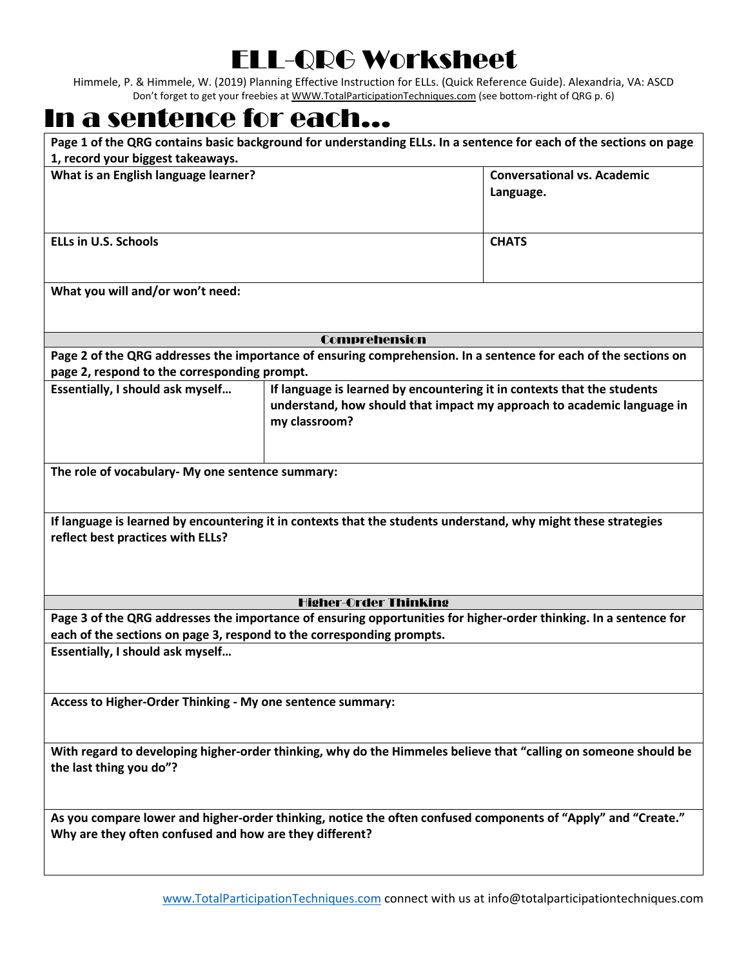## ELL-QRG Worksheet

Himmele, P. & Himmele, W. (2019) Planning Effective Instruction for ELLs. (Quick Reference Guide). Alexandria, VA: ASCD Don't forget to get your freebies at [WWW.TotalParticipationTechniques.com](http://www.totalparticipationtechniques.com/) (see bottom-right of QRG p. 6)

## In a sentence for each…

| Page 1 of the QRG contains basic background for understanding ELLs. In a sentence for each of the sections on page                                                                         |                                                                                                                                                                    |                                                 |  |  |
|--------------------------------------------------------------------------------------------------------------------------------------------------------------------------------------------|--------------------------------------------------------------------------------------------------------------------------------------------------------------------|-------------------------------------------------|--|--|
| 1, record your biggest takeaways.<br>What is an English language learner?                                                                                                                  |                                                                                                                                                                    | <b>Conversational vs. Academic</b><br>Language. |  |  |
| <b>ELLs in U.S. Schools</b>                                                                                                                                                                |                                                                                                                                                                    | <b>CHATS</b>                                    |  |  |
| What you will and/or won't need:                                                                                                                                                           |                                                                                                                                                                    |                                                 |  |  |
| <b>Comprehension</b>                                                                                                                                                                       |                                                                                                                                                                    |                                                 |  |  |
| Page 2 of the QRG addresses the importance of ensuring comprehension. In a sentence for each of the sections on                                                                            |                                                                                                                                                                    |                                                 |  |  |
| page 2, respond to the corresponding prompt.                                                                                                                                               |                                                                                                                                                                    |                                                 |  |  |
| Essentially, I should ask myself                                                                                                                                                           | If language is learned by encountering it in contexts that the students<br>understand, how should that impact my approach to academic language in<br>my classroom? |                                                 |  |  |
| The role of vocabulary- My one sentence summary:                                                                                                                                           |                                                                                                                                                                    |                                                 |  |  |
| If language is learned by encountering it in contexts that the students understand, why might these strategies<br>reflect best practices with ELLs?                                        |                                                                                                                                                                    |                                                 |  |  |
| <b>Higher-Order Thinking</b>                                                                                                                                                               |                                                                                                                                                                    |                                                 |  |  |
| Page 3 of the QRG addresses the importance of ensuring opportunities for higher-order thinking. In a sentence for<br>each of the sections on page 3, respond to the corresponding prompts. |                                                                                                                                                                    |                                                 |  |  |
| Essentially, I should ask myself                                                                                                                                                           |                                                                                                                                                                    |                                                 |  |  |
| Access to Higher-Order Thinking - My one sentence summary:                                                                                                                                 |                                                                                                                                                                    |                                                 |  |  |
| With regard to developing higher-order thinking, why do the Himmeles believe that "calling on someone should be<br>the last thing you do"?                                                 |                                                                                                                                                                    |                                                 |  |  |
| As you compare lower and higher-order thinking, notice the often confused components of "Apply" and "Create."<br>Why are they often confused and how are they different?                   |                                                                                                                                                                    |                                                 |  |  |